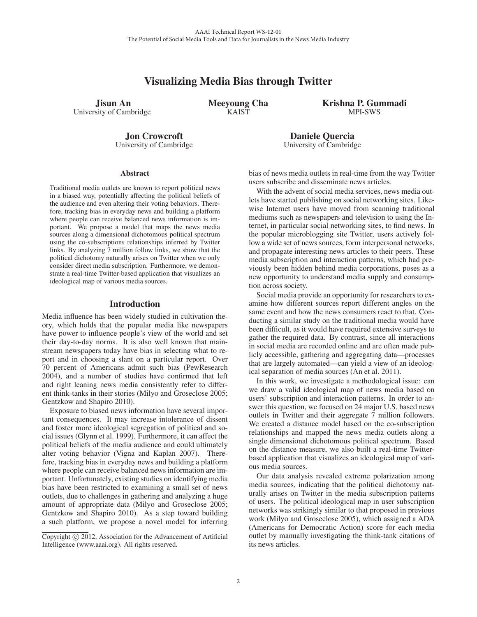# Visualizing Media Bias through Twitter

Jisun An University of Cambridge Meeyoung Cha **KAIST** 

Krishna P. Gummadi MPI-SWS

Jon Crowcroft University of Cambridge

**Abstract** 

Traditional media outlets are known to report political news in a biased way, potentially affecting the political beliefs of the audience and even altering their voting behaviors. Therefore, tracking bias in everyday news and building a platform where people can receive balanced news information is important. We propose a model that maps the news media sources along a dimensional dichotomous political spectrum using the co-subscriptions relationships inferred by Twitter links. By analyzing 7 million follow links, we show that the political dichotomy naturally arises on Twitter when we only consider direct media subscription. Furthermore, we demonstrate a real-time Twitter-based application that visualizes an ideological map of various media sources.

# Introduction

Media influence has been widely studied in cultivation theory, which holds that the popular media like newspapers have power to influence people's view of the world and set their day-to-day norms. It is also well known that mainstream newspapers today have bias in selecting what to report and in choosing a slant on a particular report. Over 70 percent of Americans admit such bias (PewResearch 2004), and a number of studies have confirmed that left and right leaning news media consistently refer to different think-tanks in their stories (Milyo and Groseclose 2005; Gentzkow and Shapiro 2010).

Exposure to biased news information have several important consequences. It may increase intolerance of dissent and foster more ideological segregation of political and social issues (Glynn et al. 1999). Furthermore, it can affect the political beliefs of the media audience and could ultimately alter voting behavior (Vigna and Kaplan 2007). Therefore, tracking bias in everyday news and building a platform where people can receive balanced news information are important. Unfortunately, existing studies on identifying media bias have been restricted to examining a small set of news outlets, due to challenges in gathering and analyzing a huge amount of appropriate data (Milyo and Groseclose 2005; Gentzkow and Shapiro 2010). As a step toward building a such platform, we propose a novel model for inferring bias of news media outlets in real-time from the way Twitter users subscribe and disseminate news articles.

Daniele Quercia University of Cambridge

With the advent of social media services, news media outlets have started publishing on social networking sites. Likewise Internet users have moved from scanning traditional mediums such as newspapers and television to using the Internet, in particular social networking sites, to find news. In the popular microblogging site Twitter, users actively follow a wide set of news sources, form interpersonal networks, and propagate interesting news articles to their peers. These media subscription and interaction patterns, which had previously been hidden behind media corporations, poses as a new opportunity to understand media supply and consumption across society.

Social media provide an opportunity for researchers to examine how different sources report different angles on the same event and how the news consumers react to that. Conducting a similar study on the traditional media would have been difficult, as it would have required extensive surveys to gather the required data. By contrast, since all interactions in social media are recorded online and are often made publicly accessible, gathering and aggregating data—processes that are largely automated—can yield a view of an ideological separation of media sources (An et al. 2011).

In this work, we investigate a methodological issue: can we draw a valid ideological map of news media based on users' subscription and interaction patterns. In order to answer this question, we focused on 24 major U.S. based news outlets in Twitter and their aggregate 7 million followers. We created a distance model based on the co-subscription relationships and mapped the news media outlets along a single dimensional dichotomous political spectrum. Based on the distance measure, we also built a real-time Twitterbased application that visualizes an ideological map of various media sources.

Our data analysis revealed extreme polarization among media sources, indicating that the political dichotomy naturally arises on Twitter in the media subscription patterns of users. The political ideological map in user subscription networks was strikingly similar to that proposed in previous work (Milyo and Groseclose 2005), which assigned a ADA (Americans for Democratic Action) score for each media outlet by manually investigating the think-tank citations of its news articles.

Copyright  $\odot$  2012, Association for the Advancement of Artificial Intelligence (www.aaai.org). All rights reserved.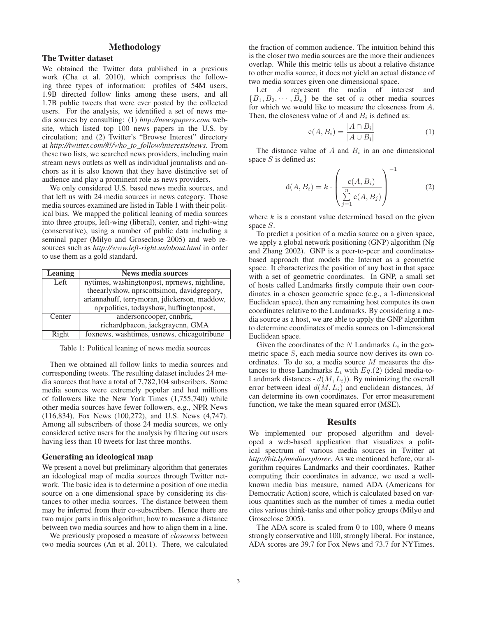### Methodology

### The Twitter dataset

We obtained the Twitter data published in a previous work (Cha et al. 2010), which comprises the following three types of information: profiles of 54M users, 1.9B directed follow links among these users, and all 1.7B public tweets that were ever posted by the collected users. For the analysis, we identified a set of news media sources by consulting: (1) *http://newspapers.com* website, which listed top 100 news papers in the U.S. by circulation; and (2) Twitter's "Browse Interest" directory at *http://twitter.com/#!/who\_to\_follow/interests/news*. From these two lists, we searched news providers, including main stream news outlets as well as individual journalists and anchors as it is also known that they have distinctive set of audience and play a prominent role as news providers.

We only considered U.S. based news media sources, and that left us with 24 media sources in news category. Those media sources examined are listed in Table 1 with their political bias. We mapped the political leaning of media sources into three groups, left-wing (liberal), center, and right-wing (conservative), using a number of public data including a seminal paper (Milyo and Groseclose 2005) and web resources such as *http://www.left-right.us/about.html* in order to use them as a gold standard.

| Leaning | <b>News media sources</b>                    |
|---------|----------------------------------------------|
| Left    | nytimes, washingtonpost, nprnews, nightline, |
|         | theearlyshow, nprscottsimon, davidgregory,   |
|         | ariannahuff, terrymoran, jdickerson, maddow, |
|         | nprpolitics, todayshow, huffingtonpost,      |
| Center  | andersoncooper, cnnbrk,                      |
|         | richardpbacon, jackgraycnn, GMA              |
| Right   | foxnews, washtimes, usnews, chicagotribune   |

Table 1: Political leaning of news media sources

Then we obtained all follow links to media sources and corresponding tweets. The resulting dataset includes 24 media sources that have a total of 7,782,104 subscribers. Some media sources were extremely popular and had millions of followers like the New York Times (1,755,740) while other media sources have fewer followers, e.g., NPR News (116,834), Fox News (100,272), and U.S. News (4,747). Among all subscribers of those 24 media sources, we only considered active users for the analysis by filtering out users having less than 10 tweets for last three months.

#### Generating an ideological map

We present a novel but preliminary algorithm that generates an ideological map of media sources through Twitter network. The basic idea is to determine a position of one media source on a one dimensional space by considering its distances to other media sources. The distance between them may be inferred from their co-subscribers. Hence there are two major parts in this algorithm; how to measure a distance between two media sources and how to align them in a line.

We previously proposed a measure of *closeness* between two media sources (An et al. 2011). There, we calculated

the fraction of common audience. The intuition behind this is the closer two media sources are the more their audiences overlap. While this metric tells us about a relative distance to other media source, it does not yield an actual distance of two media sources given one dimensional space.

Let A represent the media of interest and  ${B_1, B_2, \cdots, B_n}$  be the set of n other media sources for which we would like to measure the closeness from A. Then, the closeness value of A and  $B_i$  is defined as:

$$
c(A, B_i) = \frac{|A \cap B_i|}{|A \cup B_i|} \tag{1}
$$

The distance value of  $A$  and  $B_i$  in an one dimensional space  $S$  is defined as:

$$
d(A, B_i) = k \cdot \left(\frac{c(A, B_i)}{\sum\limits_{j=1}^{n} c(A, B_j)}\right)^{-1}
$$
 (2)

where  $k$  is a constant value determined based on the given space S.

To predict a position of a media source on a given space, we apply a global network positioning (GNP) algorithm (Ng and Zhang 2002). GNP is a peer-to-peer and coordinatesbased approach that models the Internet as a geometric space. It characterizes the position of any host in that space with a set of geometric coordinates. In GNP, a small set of hosts called Landmarks firstly compute their own coordinates in a chosen geometric space (e.g., a 1-dimensional Euclidean space), then any remaining host computes its own coordinates relative to the Landmarks. By considering a media source as a host, we are able to apply the GNP algorithm to determine coordinates of media sources on 1-dimensional Euclidean space.

Given the coordinates of the  $N$  Landmarks  $L_i$  in the geometric space  $S$ , each media source now derives its own coordinates. To do so, a media source M measures the distances to those Landmarks  $L_i$  with  $Eq.(2)$  (ideal media-to-Landmark distances -  $d(M, L_i)$ ). By minimizing the overall error between ideal  $d(M, L_i)$  and euclidean distances, M can determine its own coordinates. For error measurement function, we take the mean squared error (MSE).

#### **Results**

We implemented our proposed algorithm and developed a web-based application that visualizes a political spectrum of various media sources in Twitter at *http://bit.ly/mediaexplorer*. As we mentioned before, our algorithm requires Landmarks and their coordinates. Rather computing their coordinates in advance, we used a wellknown media bias measure, named ADA (Americans for Democratic Action) score, which is calculated based on various quantities such as the number of times a media outlet cites various think-tanks and other policy groups (Milyo and Groseclose 2005).

The ADA score is scaled from 0 to 100, where 0 means strongly conservative and 100, strongly liberal. For instance, ADA scores are 39.7 for Fox News and 73.7 for NYTimes.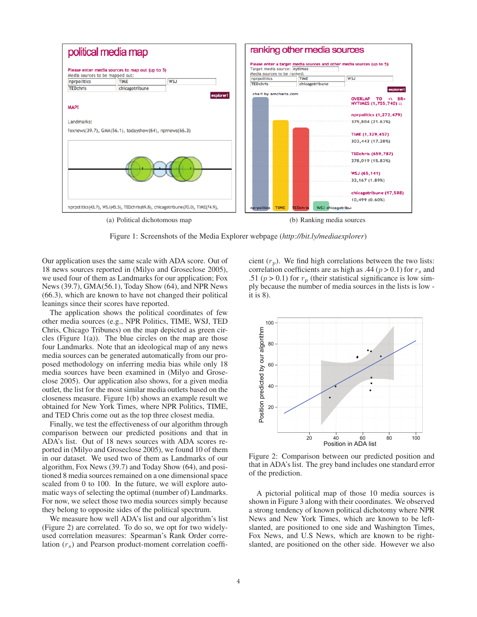

Figure 1: Screenshots of the Media Explorer webpage (*http://bit.ly/mediaexplorer*)

Our application uses the same scale with ADA score. Out of 18 news sources reported in (Milyo and Groseclose 2005), we used four of them as Landmarks for our application; Fox News (39.7), GMA(56.1), Today Show (64), and NPR News (66.3), which are known to have not changed their political leanings since their scores have reported.

The application shows the political coordinates of few other media sources (e.g., NPR Politics, TIME, WSJ, TED Chris, Chicago Tribunes) on the map depicted as green circles (Figure  $1(a)$ ). The blue circles on the map are those four Landmarks. Note that an ideological map of any news media sources can be generated automatically from our proposed methodology on inferring media bias while only 18 media sources have been examined in (Milyo and Groseclose 2005). Our application also shows, for a given media outlet, the list for the most similar media outlets based on the closeness measure. Figure 1(b) shows an example result we obtained for New York Times, where NPR Politics, TIME, and TED Chris come out as the top three closest media.

Finally, we test the effectiveness of our algorithm through comparison between our predicted positions and that in ADA's list. Out of 18 news sources with ADA scores reported in (Milyo and Groseclose 2005), we found 10 of them in our dataset. We used two of them as Landmarks of our algorithm, Fox News (39.7) and Today Show (64), and positioned 8 media sources remained on a one dimensional space scaled from 0 to 100. In the future, we will explore automatic ways of selecting the optimal (number of) Landmarks. For now, we select those two media sources simply because they belong to opposite sides of the political spectrum.

We measure how well ADA's list and our algorithm's list (Figure 2) are correlated. To do so, we opt for two widelyused correlation measures: Spearman's Rank Order correlation  $(r<sub>s</sub>)$  and Pearson product-moment correlation coefficient  $(r_p)$ . We find high correlations between the two lists: correlation coefficients are as high as .44 ( $p > 0.1$ ) for  $r_s$  and .51 ( $p > 0.1$ ) for  $r_p$  (their statistical significance is low simply because the number of media sources in the lists is low it is 8).



Figure 2: Comparison between our predicted position and that in ADA's list. The grey band includes one standard error of the prediction.

A pictorial political map of those 10 media sources is shown in Figure 3 along with their coordinates. We observed a strong tendency of known political dichotomy where NPR News and New York Times, which are known to be leftslanted, are positioned to one side and Washington Times, Fox News, and U.S News, which are known to be rightslanted, are positioned on the other side. However we also